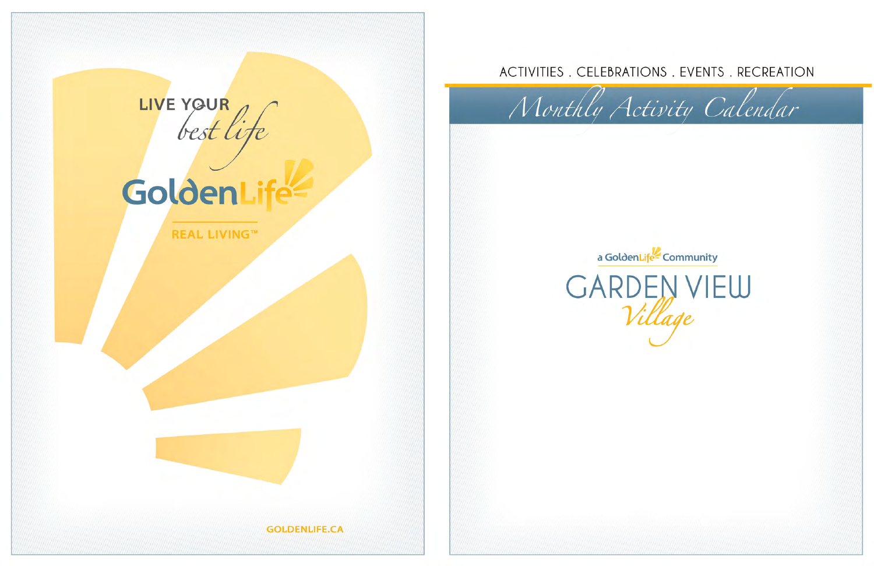

# GoldenLife

**REAL LIVING™** 



**GOLDENLIFE.CA** 

## ACTIVITIES. CELEBRATIONS. EVENTS. RECREATION